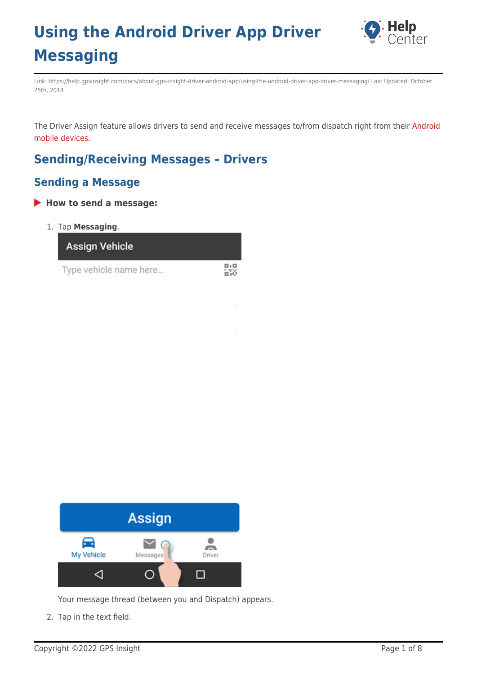

Link: https://help.gpsinsight.com/docs/about-gps-insight-driver-android-app/using-the-android-driver-app-driver-messaging/ Last Updated: October 25th, 2018

The Driver Assign feature allows drivers to send and receive messages to/from dispatch right from their [Android](https://help.gpsinsight.com/docs/about-gps-insight-driver-android-app/) [mobile devices](https://help.gpsinsight.com/docs/about-gps-insight-driver-android-app/).

盟

### **Sending/Receiving Messages – Drivers**

### **Sending a Message**

#### **How to send a message:**

1. Tap **Messaging**.

**Assign Vehicle** 

Type vehicle name here...



Your message thread (between you and Dispatch) appears.

2. Tap in the text field.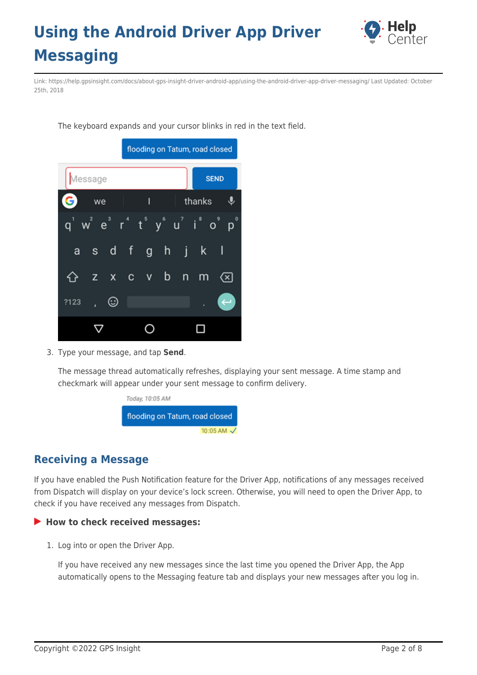

Link: https://help.gpsinsight.com/docs/about-gps-insight-driver-android-app/using-the-android-driver-app-driver-messaging/ Last Updated: October 25th, 2018

The keyboard expands and your cursor blinks in red in the text field.



3. Type your message, and tap **Send**.

The message thread automatically refreshes, displaying your sent message. A time stamp and checkmark will appear under your sent message to confirm delivery.



### **Receiving a Message**

If you have enabled the Push Notification feature for the Driver App, notifications of any messages received from Dispatch will display on your device's lock screen. Otherwise, you will need to open the Driver App, to check if you have received any messages from Dispatch.

#### **How to check received messages:**

1. Log into or open the Driver App.

If you have received any new messages since the last time you opened the Driver App, the App automatically opens to the Messaging feature tab and displays your new messages after you log in.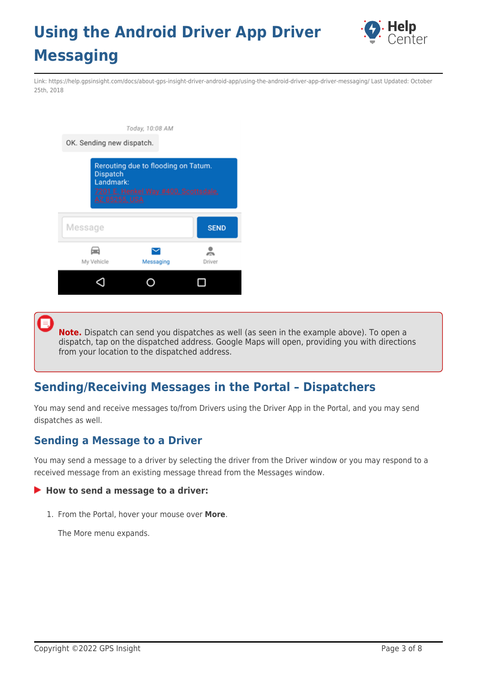

Link: https://help.gpsinsight.com/docs/about-gps-insight-driver-android-app/using-the-android-driver-app-driver-messaging/ Last Updated: October 25th, 2018

|                                               | Today, 10:08 AM                                                             |             |
|-----------------------------------------------|-----------------------------------------------------------------------------|-------------|
| OK. Sending new dispatch.                     |                                                                             |             |
| Dispatch<br>Landmark:<br><b>AZ 85255, USA</b> | Rerouting due to flooding on Tatum.<br>7201 E. Henkel Way #400, Scottsdale, |             |
|                                               |                                                                             |             |
| Message                                       |                                                                             | <b>SEND</b> |
| My Vehicle                                    | Messaging                                                                   | Driver      |

**Note.** Dispatch can send you dispatches as well (as seen in the example above). To open a dispatch, tap on the dispatched address. Google Maps will open, providing you with directions from your location to the dispatched address.

### **Sending/Receiving Messages in the Portal – Dispatchers**

You may send and receive messages to/from Drivers using the Driver App in the Portal, and you may send dispatches as well.

### **Sending a Message to a Driver**

You may send a message to a driver by selecting the driver from the Driver window or you may respond to a received message from an existing message thread from the Messages window.

#### ▶ How to send a message to a driver:

1. From the Portal, hover your mouse over **More**.

The More menu expands.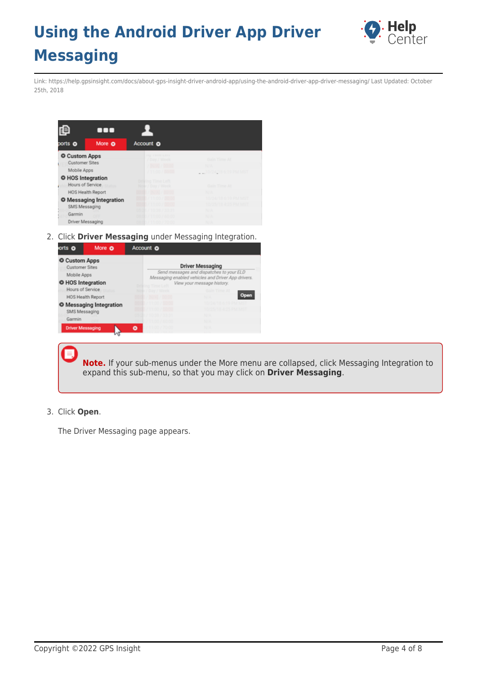

Link: https://help.gpsinsight.com/docs/about-gps-insight-driver-android-app/using-the-android-driver-app-driver-messaging/ Last Updated: October 25th, 2018

| ₽                                      | $\blacksquare$                 |                                                              |                                              |
|----------------------------------------|--------------------------------|--------------------------------------------------------------|----------------------------------------------|
| ports <sub>o</sub>                     | More O                         | Account o                                                    |                                              |
| <b>O</b> Custom Apps<br>Customer Sites |                                | <b>INJ THING LOTS</b><br>/ Day / Week<br><b>INPAL/100.00</b> | Gain Time At<br>N/A                          |
| Mobile Apps                            |                                | /11:00/8000                                                  | 10/24 08 6 19 PM MST                         |
| O HOS Integration<br>Hours of Service  | Status                         | Driving Time Left<br>W / Day / Week<br>No                    | Gain Time At                                 |
|                                        | <b>HOS Health Report</b>       | <b>IN/AT / 00:00</b>                                         | N/A                                          |
| SMS Messaging                          | <b>O</b> Messaging Integration | ۰<br>11:00 / 00:00<br>11:00 / 80:00                          | 10/24/18 6:19 PM MST<br>10/25/18 4:25 PM MST |
| Garmin<br>Driver Messaging             |                                | 1100/800<br><b>CONTRACTOR</b> CONTRACTOR                     | N/A<br>N/A<br><b>MAG</b>                     |

2. Click **Driver Messaging** under Messaging Integration.

| orts O                                                                            | More O                         | Account O                                                                                                                                                                     |              |  |  |  |  |  |  |
|-----------------------------------------------------------------------------------|--------------------------------|-------------------------------------------------------------------------------------------------------------------------------------------------------------------------------|--------------|--|--|--|--|--|--|
| <b>O</b> Custom Apps<br><b>Customer Sites</b><br>Mobile Apps<br>O HOS Integration |                                | <b>Driver Messaging</b><br>Send messages and dispatches to your ELD<br>Messaging enabled vehicles and Driver App drivers.<br>View your message history.<br>ta Time Left<br>Dr |              |  |  |  |  |  |  |
| Hours of Service                                                                  |                                | Day / Week                                                                                                                                                                    | Gain Time At |  |  |  |  |  |  |
|                                                                                   | <b>HOS Health Report</b>       | <b>N7AT7 00:00</b>                                                                                                                                                            |              |  |  |  |  |  |  |
| SMS Messaging<br>Garmin                                                           | <b>O</b> Messaging Integration |                                                                                                                                                                               | N/A<br>N/A   |  |  |  |  |  |  |
| <b>Driver Messaging</b>                                                           |                                | ο                                                                                                                                                                             | N/A          |  |  |  |  |  |  |

**Note.** If your sub-menus under the More menu are collapsed, click Messaging Integration to expand this sub-menu, so that you may click on **Driver Messaging**.

3. Click **Open**.

The Driver Messaging page appears.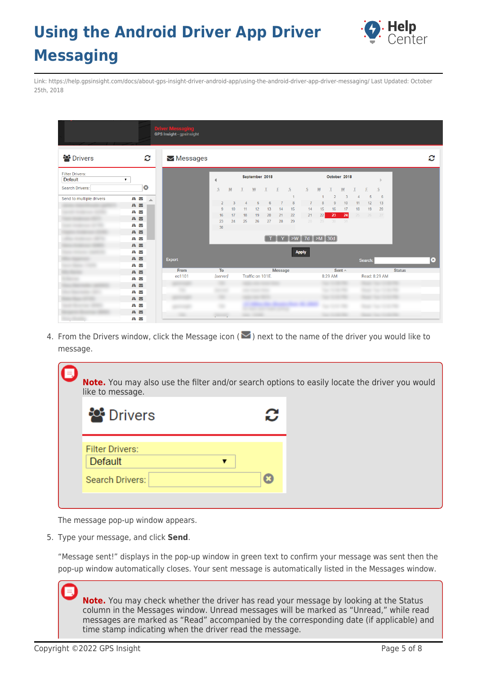

Link: https://help.gpsinsight.com/docs/about-gps-insight-driver-android-app/using-the-android-driver-app-driver-messaging/ Last Updated: October 25th, 2018

|                                   |                       | <b>Driver Messag</b><br><b>GPS Insight - gpsinsight</b> |                |                 |    |                     |                |                   |                                             |                |              |                |                |          |         |                            |               |  |
|-----------------------------------|-----------------------|---------------------------------------------------------|----------------|-----------------|----|---------------------|----------------|-------------------|---------------------------------------------|----------------|--------------|----------------|----------------|----------|---------|----------------------------|---------------|--|
| <b>Drivers</b>                    | C                     | $\blacktriangleright$ Messages                          |                |                 |    |                     |                |                   |                                             |                |              |                |                |          |         |                            |               |  |
| <b>Filter Drivers:</b><br>Default | ▼.                    |                                                         | ∢              |                 |    |                     | September 2018 |                   |                                             |                |              | October 2018   |                |          |         |                            |               |  |
| Search Drivers:                   | $\boldsymbol{\omega}$ |                                                         | S              | M               | T. | W                   | $\mathbb{T}$   | E                 | S                                           | S              | M            |                | W              |          | F       | S                          |               |  |
| Send to multiple drivers          | AΛ<br>$\Delta$        |                                                         |                |                 |    |                     |                |                   | $\overline{1}$                              |                | $\mathbf{1}$ | $\overline{2}$ | $\overline{3}$ | $\Delta$ | 5       | 6                          |               |  |
|                                   | A M                   |                                                         | $\overline{2}$ | 3               |    | 5                   | 6              | $\overline{7}$    | 8                                           | $\overline{7}$ | 8            | 9              | 10             | 11       | 12      | 13                         |               |  |
|                                   | ÆΜ                    |                                                         | 9              | 10 <sup>1</sup> | 11 | 12                  | 13             | 14                | 15                                          | 14             | 15           | 16             | 17             | 18       | 19      | 20                         |               |  |
|                                   | A M                   |                                                         | 16             | 17<br>24        | 18 | 19                  | 20<br>27       | 21                | 22<br>29                                    | 21<br>28       | 22           | 23<br>29 30 31 | 24             | 25       | 26      | 27                         |               |  |
|                                   | A A                   |                                                         | 23<br>30       |                 | 25 | 26                  |                | 28                |                                             |                |              |                |                |          |         |                            |               |  |
|                                   | <b>A</b>              |                                                         |                |                 |    |                     |                |                   |                                             |                |              |                |                |          |         |                            |               |  |
|                                   | AΝ                    |                                                         |                |                 |    |                     |                |                   | $T$ $Y$ $\sim$ $\sim$ $7d$ $\sim$ $M$ $30d$ |                |              |                |                |          |         |                            |               |  |
|                                   | $A \triangleright$    |                                                         |                |                 |    |                     |                |                   |                                             |                |              |                |                |          |         |                            |               |  |
|                                   | ÆΜ                    |                                                         |                |                 |    |                     |                |                   |                                             | <b>Apply</b>   |              |                |                |          |         |                            |               |  |
|                                   | <b>A</b>              | Export                                                  |                |                 |    |                     |                |                   |                                             |                |              |                |                |          | Search: |                            |               |  |
|                                   | AΝ                    |                                                         |                |                 |    |                     |                |                   |                                             |                |              |                |                |          |         |                            |               |  |
|                                   | <b>A</b>              | From<br>ec1101                                          | To<br>[server] |                 |    | Traffic on 101E.    |                | Message           |                                             |                |              | 8:29 AM        | Sent $\wedge$  |          |         | Read: 8:29 AM              | <b>Status</b> |  |
| <b>STATISTICS</b>                 | AΝ                    |                                                         |                |                 |    |                     |                |                   |                                             |                |              |                |                |          |         |                            |               |  |
|                                   | A <sub>N</sub>        |                                                         |                |                 |    | <b>SECTION CONT</b> |                |                   |                                             |                |              | the collection |                |          |         | <b>Search Construction</b> |               |  |
|                                   | A N                   |                                                         |                |                 |    |                     |                |                   |                                             |                |              |                |                |          |         |                            |               |  |
|                                   | <b>A</b>              |                                                         |                |                 |    |                     |                |                   |                                             |                |              |                |                |          |         |                            |               |  |
|                                   | AΝ                    |                                                         |                |                 |    |                     |                | <b>CONTRACTOR</b> |                                             |                |              |                |                |          |         |                            |               |  |
|                                   | A M<br>ÆΜ             |                                                         |                |                 |    |                     |                |                   |                                             |                |              |                |                |          |         |                            |               |  |

4. From the Drivers window, click the Message icon ( $\vee$ ) next to the name of the driver you would like to message.

| Note. You may also use the filter and/or search options to easily locate the driver you would<br>like to message. |   |  |
|-------------------------------------------------------------------------------------------------------------------|---|--|
| <b><sup>20</sup> Drivers</b>                                                                                      | c |  |
| <b>Filter Drivers:</b><br><b>Default</b>                                                                          |   |  |
| Search Drivers:                                                                                                   | Ω |  |

The message pop-up window appears.

5. Type your message, and click **Send**.

"Message sent!" displays in the pop-up window in green text to confirm your message was sent then the pop-up window automatically closes. Your sent message is automatically listed in the Messages window.

**Note.** You may check whether the driver has read your message by looking at the Status column in the Messages window. Unread messages will be marked as "Unread," while read messages are marked as "Read" accompanied by the corresponding date (if applicable) and time stamp indicating when the driver read the message.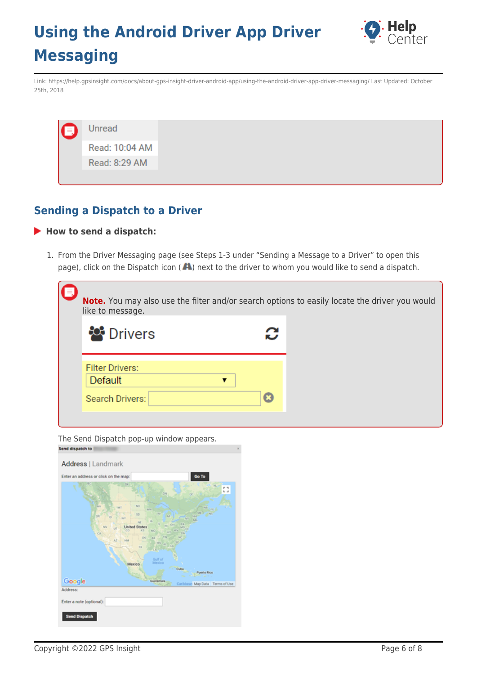

Link: https://help.gpsinsight.com/docs/about-gps-insight-driver-android-app/using-the-android-driver-app-driver-messaging/ Last Updated: October 25th, 2018

### **Sending a Dispatch to a Driver**

#### **How to send a dispatch:**

1. From the Driver Messaging page (see Steps 1-3 under "Sending a Message to a Driver" to open this page), click on the Dispatch icon ( $\blacktriangle$ ) next to the driver to whom you would like to send a dispatch.

| like to message.                         | Note. You may also use the filter and/or search options to easily locate the driver you would |  |
|------------------------------------------|-----------------------------------------------------------------------------------------------|--|
| <b>P</b> Drivers                         |                                                                                               |  |
| <b>Filter Drivers:</b><br><b>Default</b> | ▼                                                                                             |  |
| <b>Search Drivers:</b>                   | Ω                                                                                             |  |

The Send Dispatch pop-up window appears.

| Enter an address or click on the map: | Go To                                                                                                                                                                      |             |
|---------------------------------------|----------------------------------------------------------------------------------------------------------------------------------------------------------------------------|-------------|
|                                       | 58<br>he.<br>DΝ<br>$\alpha$                                                                                                                                                | r n<br>t, a |
| <b>DUA</b><br>oa<br>NV                | NO <sub>1</sub><br>MT<br>PE &<br><b>MN</b><br>MI)<br>$-10%$<br>W<br>80<br>NH <sup>-</sup><br>Art.<br>WY<br>NY<br>MA.<br><b>LE</b><br>NE<br>PA<br>0 <sup>1</sup><br>$^{12}$ |             |
| ٠                                     | <b>United States</b><br>UΟ<br>$-57$<br>CO<br>KS.<br>MO<br>WV<br><b>ACM</b><br>OK.<br><b>AR</b><br>AZ.<br>NN<br><b>KAYS</b><br>TK                                           |             |
|                                       | Gulf of<br>Mexico<br>Mexico<br>Cuba<br>Puerto Rico<br>-                                                                                                                    |             |
| Google                                | Guatemala<br>Caribbean Map Data Terms of Use                                                                                                                               |             |
| Address:<br>Enter a note (optional):  |                                                                                                                                                                            |             |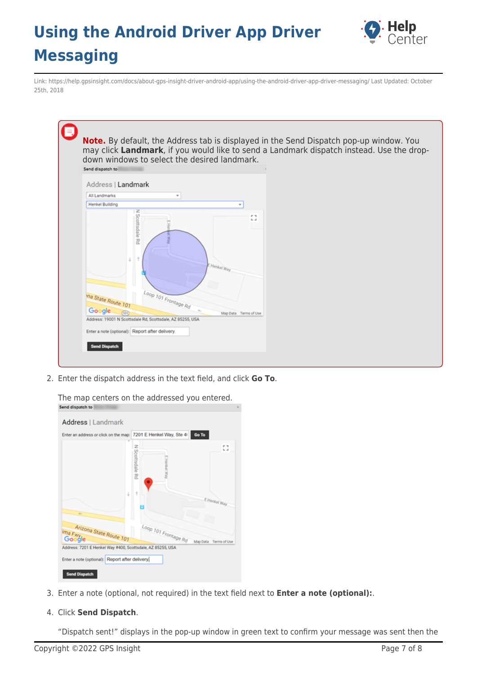

Link: https://help.gpsinsight.com/docs/about-gps-insight-driver-android-app/using-the-android-driver-app-driver-messaging/ Last Updated: October 25th, 2018

| Send dispatch to                     |                          |                       |                     |  |  |
|--------------------------------------|--------------------------|-----------------------|---------------------|--|--|
| Address   Landmark<br>All Landmarks  |                          |                       |                     |  |  |
| Henkel Building                      |                          |                       |                     |  |  |
|                                      | N Scottsdale Rd          |                       | r 1<br>$L_{\rm{c}}$ |  |  |
|                                      |                          | Henkel Way            |                     |  |  |
| ina State Route 101<br><b>Google</b> | $log_{D101}$ Frontage Rd | Map Data Terms of Use |                     |  |  |

2. Enter the dispatch address in the text field, and click **Go To**.

| Enter an address or click on the map: 7201 E Henkel Way, Ste 41 |                      | Go To                 |
|-----------------------------------------------------------------|----------------------|-----------------------|
|                                                                 | z<br>Scottsdale Rd   | Ω                     |
| Į.<br>÷.                                                        | ŧ                    | E Henkel Way          |
| Arizona State Route 101<br>ima Fwyle                            | Loop 101 Frontage Rd | Map Data Terms of Use |

The map centers on the addressed you entered.

- 3. Enter a note (optional, not required) in the text field next to **Enter a note (optional):**.
- 4. Click **Send Dispatch**.

"Dispatch sent!" displays in the pop-up window in green text to confirm your message was sent then the